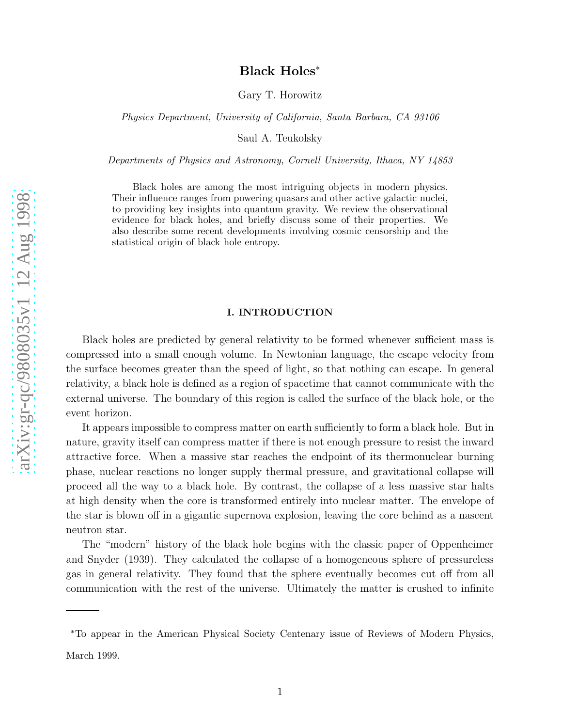# Black Holes<sup>\*</sup>

Gary T. Horowitz

Physics Department, University of California, Santa Barbara, CA 93106

Saul A. Teukolsky

Departments of Physics and Astronomy, Cornell University, Ithaca, NY 14853

Black holes are among the most intriguing objects in modern physics. Their influence ranges from powering quasars and other active galactic nuclei, to providing key insights into quantum gravity. We review the observational evidence for black holes, and briefly discuss some of their properties. We also describe some recent developments involving cosmic censorship and the statistical origin of black hole entropy.

# I. INTRODUCTION

Black holes are predicted by general relativity to be formed whenever sufficient mass is compressed into a small enough volume. In Newtonian language, the escape velocity from the surface becomes greater than the speed of light, so that nothing can escape. In general relativity, a black hole is defined as a region of spacetime that cannot communicate with the external universe. The boundary of this region is called the surface of the black hole, or the event horizon.

It appears impossible to compress matter on earth sufficiently to form a black hole. But in nature, gravity itself can compress matter if there is not enough pressure to resist the inward attractive force. When a massive star reaches the endpoint of its thermonuclear burning phase, nuclear reactions no longer supply thermal pressure, and gravitational collapse will proceed all the way to a black hole. By contrast, the collapse of a less massive star halts at high density when the core is transformed entirely into nuclear matter. The envelope of the star is blown off in a gigantic supernova explosion, leaving the core behind as a nascent neutron star.

The "modern" history of the black hole begins with the classic paper of Oppenheimer and Snyder (1939). They calculated the collapse of a homogeneous sphere of pressureless gas in general relativity. They found that the sphere eventually becomes cut off from all communication with the rest of the universe. Ultimately the matter is crushed to infinite

<sup>∗</sup>To appear in the American Physical Society Centenary issue of Reviews of Modern Physics, March 1999.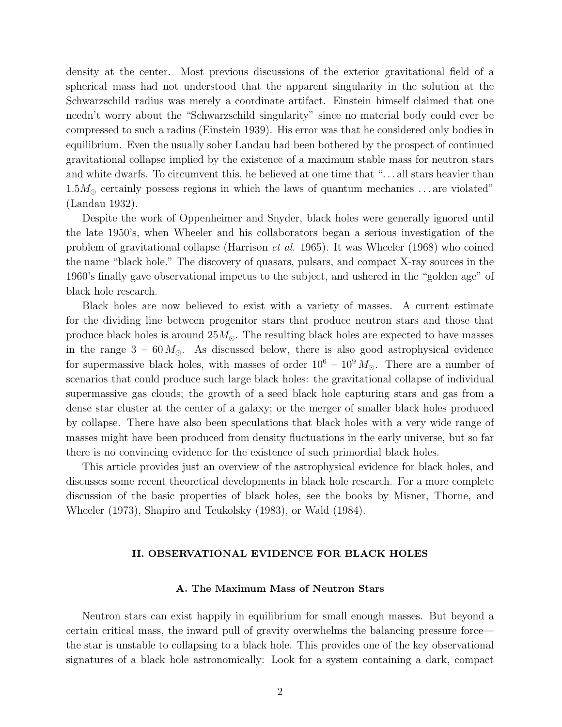density at the center. Most previous discussions of the exterior gravitational field of a spherical mass had not understood that the apparent singularity in the solution at the Schwarzschild radius was merely a coordinate artifact. Einstein himself claimed that one needn't worry about the "Schwarzschild singularity" since no material body could ever be compressed to such a radius (Einstein 1939). His error was that he considered only bodies in equilibrium. Even the usually sober Landau had been bothered by the prospect of continued gravitational collapse implied by the existence of a maximum stable mass for neutron stars and white dwarfs. To circumvent this, he believed at one time that ". . . all stars heavier than  $1.5M_{\odot}$  certainly possess regions in which the laws of quantum mechanics ... are violated" (Landau 1932).

Despite the work of Oppenheimer and Snyder, black holes were generally ignored until the late 1950's, when Wheeler and his collaborators began a serious investigation of the problem of gravitational collapse (Harrison *et al.* 1965). It was Wheeler (1968) who coined the name "black hole." The discovery of quasars, pulsars, and compact X-ray sources in the 1960's finally gave observational impetus to the subject, and ushered in the "golden age" of black hole research.

Black holes are now believed to exist with a variety of masses. A current estimate for the dividing line between progenitor stars that produce neutron stars and those that produce black holes is around  $25M_{\odot}$ . The resulting black holes are expected to have masses in the range  $3 - 60 M_{\odot}$ . As discussed below, there is also good astrophysical evidence for supermassive black holes, with masses of order  $10^6 - 10^9 M_{\odot}$ . There are a number of scenarios that could produce such large black holes: the gravitational collapse of individual supermassive gas clouds; the growth of a seed black hole capturing stars and gas from a dense star cluster at the center of a galaxy; or the merger of smaller black holes produced by collapse. There have also been speculations that black holes with a very wide range of masses might have been produced from density fluctuations in the early universe, but so far there is no convincing evidence for the existence of such primordial black holes.

This article provides just an overview of the astrophysical evidence for black holes, and discusses some recent theoretical developments in black hole research. For a more complete discussion of the basic properties of black holes, see the books by Misner, Thorne, and Wheeler (1973), Shapiro and Teukolsky (1983), or Wald (1984).

### II. OBSERVATIONAL EVIDENCE FOR BLACK HOLES

#### A. The Maximum Mass of Neutron Stars

Neutron stars can exist happily in equilibrium for small enough masses. But beyond a certain critical mass, the inward pull of gravity overwhelms the balancing pressure force the star is unstable to collapsing to a black hole. This provides one of the key observational signatures of a black hole astronomically: Look for a system containing a dark, compact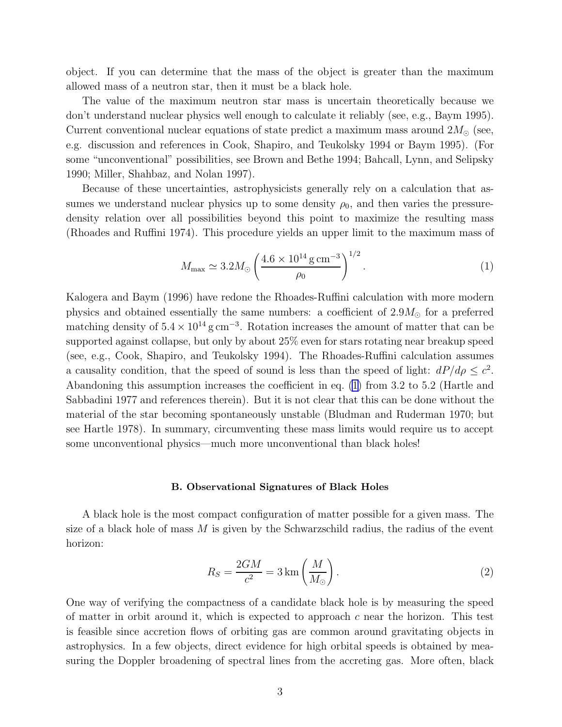<span id="page-2-0"></span>object. If you can determine that the mass of the object is greater than the maximum allowed mass of a neutron star, then it must be a black hole.

The value of the maximum neutron star mass is uncertain theoretically because we don't understand nuclear physics well enough to calculate it reliably (see, e.g., Baym 1995). Current conventional nuclear equations of state predict a maximum mass around  $2M_{\odot}$  (see, e.g. discussion and references in Cook, Shapiro, and Teukolsky 1994 or Baym 1995). (For some "unconventional" possibilities, see Brown and Bethe 1994; Bahcall, Lynn, and Selipsky 1990; Miller, Shahbaz, and Nolan 1997).

Because of these uncertainties, astrophysicists generally rely on a calculation that assumes we understand nuclear physics up to some density  $\rho_0$ , and then varies the pressuredensity relation over all possibilities beyond this point to maximize the resulting mass (Rhoades and Ruffini 1974). This procedure yields an upper limit to the maximum mass of

$$
M_{\text{max}} \simeq 3.2 M_{\odot} \left( \frac{4.6 \times 10^{14} \,\text{g cm}^{-3}}{\rho_0} \right)^{1/2} . \tag{1}
$$

Kalogera and Baym (1996) have redone the Rhoades-Ruffini calculation with more modern physics and obtained essentially the same numbers: a coefficient of  $2.9M_{\odot}$  for a preferred matching density of  $5.4 \times 10^{14}$  g cm<sup>-3</sup>. Rotation increases the amount of matter that can be supported against collapse, but only by about 25% even for stars rotating near breakup speed (see, e.g., Cook, Shapiro, and Teukolsky 1994). The Rhoades-Ruffini calculation assumes a causality condition, that the speed of sound is less than the speed of light:  $dP/d\rho \leq c^2$ . Abandoning this assumption increases the coefficient in eq. (1) from 3.2 to 5.2 (Hartle and Sabbadini 1977 and references therein). But it is not clear that this can be done without the material of the star becoming spontaneously unstable (Bludman and Ruderman 1970; but see Hartle 1978). In summary, circumventing these mass limits would require us to accept some unconventional physics—much more unconventional than black holes!

#### B. Observational Signatures of Black Holes

A black hole is the most compact configuration of matter possible for a given mass. The size of a black hole of mass  $M$  is given by the Schwarzschild radius, the radius of the event horizon:

$$
R_S = \frac{2GM}{c^2} = 3 \text{ km} \left(\frac{M}{M_{\odot}}\right). \tag{2}
$$

One way of verifying the compactness of a candidate black hole is by measuring the speed of matter in orbit around it, which is expected to approach c near the horizon. This test is feasible since accretion flows of orbiting gas are common around gravitating objects in astrophysics. In a few objects, direct evidence for high orbital speeds is obtained by measuring the Doppler broadening of spectral lines from the accreting gas. More often, black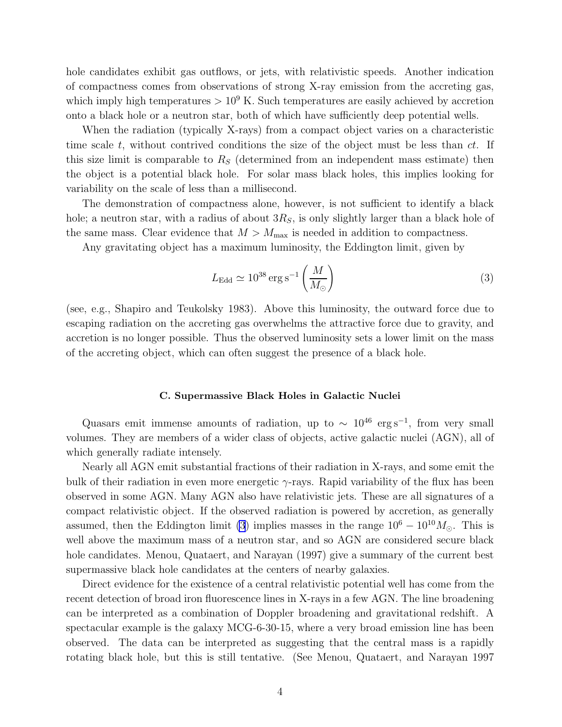<span id="page-3-0"></span>hole candidates exhibit gas outflows, or jets, with relativistic speeds. Another indication of compactness comes from observations of strong X-ray emission from the accreting gas, which imply high temperatures  $> 10^9$  K. Such temperatures are easily achieved by accretion onto a black hole or a neutron star, both of which have sufficiently deep potential wells.

When the radiation (typically X-rays) from a compact object varies on a characteristic time scale  $t$ , without contrived conditions the size of the object must be less than  $ct$ . If this size limit is comparable to  $R<sub>S</sub>$  (determined from an independent mass estimate) then the object is a potential black hole. For solar mass black holes, this implies looking for variability on the scale of less than a millisecond.

The demonstration of compactness alone, however, is not sufficient to identify a black hole; a neutron star, with a radius of about  $3R<sub>S</sub>$ , is only slightly larger than a black hole of the same mass. Clear evidence that  $M > M_{\text{max}}$  is needed in addition to compactness.

Any gravitating object has a maximum luminosity, the Eddington limit, given by

$$
L_{\rm Edd} \simeq 10^{38} \,\rm erg \,s^{-1} \left(\frac{M}{M_{\odot}}\right) \tag{3}
$$

(see, e.g., Shapiro and Teukolsky 1983). Above this luminosity, the outward force due to escaping radiation on the accreting gas overwhelms the attractive force due to gravity, and accretion is no longer possible. Thus the observed luminosity sets a lower limit on the mass of the accreting object, which can often suggest the presence of a black hole.

## C. Supermassive Black Holes in Galactic Nuclei

Quasars emit immense amounts of radiation, up to  $\sim 10^{46}$  erg s<sup>-1</sup>, from very small volumes. They are members of a wider class of objects, active galactic nuclei (AGN), all of which generally radiate intensely.

Nearly all AGN emit substantial fractions of their radiation in X-rays, and some emit the bulk of their radiation in even more energetic  $\gamma$ -rays. Rapid variability of the flux has been observed in some AGN. Many AGN also have relativistic jets. These are all signatures of a compact relativistic object. If the observed radiation is powered by accretion, as generally assumed, then the Eddington limit (3) implies masses in the range  $10^6 - 10^{10} M_{\odot}$ . This is well above the maximum mass of a neutron star, and so AGN are considered secure black hole candidates. Menou, Quataert, and Narayan  $(1997)$  give a summary of the current best supermassive black hole candidates at the centers of nearby galaxies.

Direct evidence for the existence of a central relativistic potential well has come from the recent detection of broad iron fluorescence lines in X-rays in a few AGN. The line broadening can be interpreted as a combination of Doppler broadening and gravitational redshift. A spectacular example is the galaxy MCG-6-30-15, where a very broad emission line has been observed. The data can be interpreted as suggesting that the central mass is a rapidly rotating black hole, but this is still tentative. (See Menou, Quataert, and Narayan 1997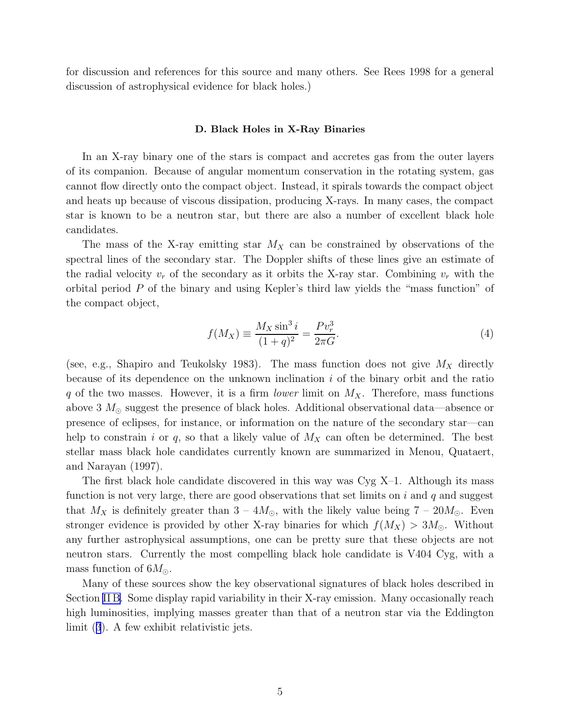for discussion and references for this source and many others. See Rees 1998 for a general discussion of astrophysical evidence for black holes.)

#### D. Black Holes in X-Ray Binaries

In an X-ray binary one of the stars is compact and accretes gas from the outer layers of its companion. Because of angular momentum conservation in the rotating system, gas cannot flow directly onto the compact object. Instead, it spirals towards the compact object and heats up because of viscous dissipation, producing X-rays. In many cases, the compact star is known to be a neutron star, but there are also a number of excellent black hole candidates.

The mass of the X-ray emitting star  $M_X$  can be constrained by observations of the spectral lines of the secondary star. The Doppler shifts of these lines give an estimate of the radial velocity  $v_r$  of the secondary as it orbits the X-ray star. Combining  $v_r$  with the orbital period P of the binary and using Kepler's third law yields the "mass function" of the compact object,

$$
f(M_X) \equiv \frac{M_X \sin^3 i}{(1+q)^2} = \frac{P v_r^3}{2\pi G}.
$$
\n(4)

(see, e.g., Shapiro and Teukolsky 1983). The mass function does not give  $M_X$  directly because of its dependence on the unknown inclination  $i$  of the binary orbit and the ratio q of the two masses. However, it is a firm *lower* limit on MX. Therefore, mass functions above 3  $M_{\odot}$  suggest the presence of black holes. Additional observational data—absence or presence of eclipses, for instance, or information on the nature of the secondary star—can help to constrain i or q, so that a likely value of  $M_X$  can often be determined. The best stellar mass black hole candidates currently known are summarized in Menou, Quataert, and Narayan (1997).

The first black hole candidate discovered in this way was Cyg X–1. Although its mass function is not very large, there are good observations that set limits on  $i$  and  $q$  and suggest that  $M_X$  is definitely greater than  $3 - 4M_{\odot}$ , with the likely value being  $7 - 20M_{\odot}$ . Even stronger evidence is provided by other X-ray binaries for which  $f(M_X) > 3M_{\odot}$ . Without any further astrophysical assumptions, one can be pretty sure that these objects are not neutron stars. Currently the most compelling black hole candidate is V404 Cyg, with a mass function of  $6M_{\odot}$ .

Many of these sources show the key observational signatures of black holes described in Section [II B.](#page-2-0) Some display rapid variability in their X-ray emission. Many occasionally reach high luminosities, implying masses greater than that of a neutron star via the Eddington limit ([3](#page-3-0)). A few exhibit relativistic jets.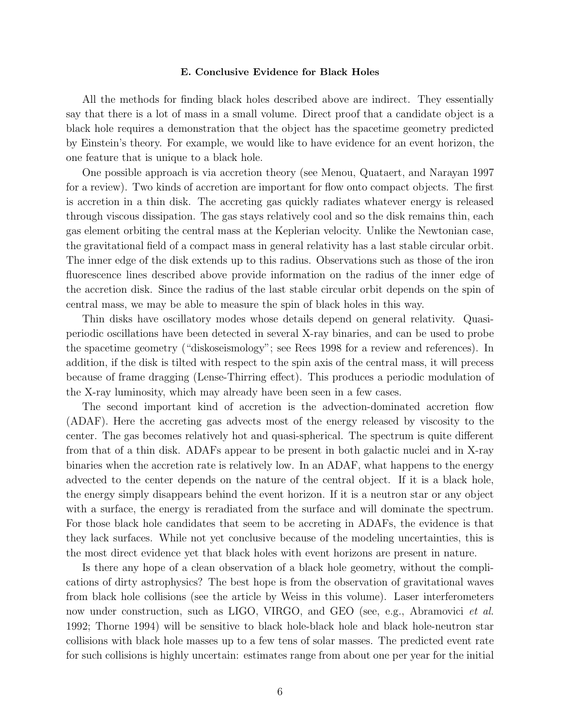#### E. Conclusive Evidence for Black Holes

All the methods for finding black holes described above are indirect. They essentially say that there is a lot of mass in a small volume. Direct proof that a candidate object is a black hole requires a demonstration that the object has the spacetime geometry predicted by Einstein's theory. For example, we would like to have evidence for an event horizon, the one feature that is unique to a black hole.

One possible approach is via accretion theory (see Menou, Quataert, and Narayan 1997 for a review). Two kinds of accretion are important for flow onto compact objects. The first is accretion in a thin disk. The accreting gas quickly radiates whatever energy is released through viscous dissipation. The gas stays relatively cool and so the disk remains thin, each gas element orbiting the central mass at the Keplerian velocity. Unlike the Newtonian case, the gravitational field of a compact mass in general relativity has a last stable circular orbit. The inner edge of the disk extends up to this radius. Observations such as those of the iron fluorescence lines described above provide information on the radius of the inner edge of the accretion disk. Since the radius of the last stable circular orbit depends on the spin of central mass, we may be able to measure the spin of black holes in this way.

Thin disks have oscillatory modes whose details depend on general relativity. Quasiperiodic oscillations have been detected in several X-ray binaries, and can be used to probe the spacetime geometry ("diskoseismology"; see Rees 1998 for a review and references). In addition, if the disk is tilted with respect to the spin axis of the central mass, it will precess because of frame dragging (Lense-Thirring effect). This produces a periodic modulation of the X-ray luminosity, which may already have been seen in a few cases.

The second important kind of accretion is the advection-dominated accretion flow (ADAF). Here the accreting gas advects most of the energy released by viscosity to the center. The gas becomes relatively hot and quasi-spherical. The spectrum is quite different from that of a thin disk. ADAFs appear to be present in both galactic nuclei and in X-ray binaries when the accretion rate is relatively low. In an ADAF, what happens to the energy advected to the center depends on the nature of the central object. If it is a black hole, the energy simply disappears behind the event horizon. If it is a neutron star or any object with a surface, the energy is reradiated from the surface and will dominate the spectrum. For those black hole candidates that seem to be accreting in ADAFs, the evidence is that they lack surfaces. While not yet conclusive because of the modeling uncertainties, this is the most direct evidence yet that black holes with event horizons are present in nature.

Is there any hope of a clean observation of a black hole geometry, without the complications of dirty astrophysics? The best hope is from the observation of gravitational waves from black hole collisions (see the article by Weiss in this volume). Laser interferometers now under construction, such as LIGO, VIRGO, and GEO (see, e.g., Abramovici *et al.* 1992; Thorne 1994) will be sensitive to black hole-black hole and black hole-neutron star collisions with black hole masses up to a few tens of solar masses. The predicted event rate for such collisions is highly uncertain: estimates range from about one per year for the initial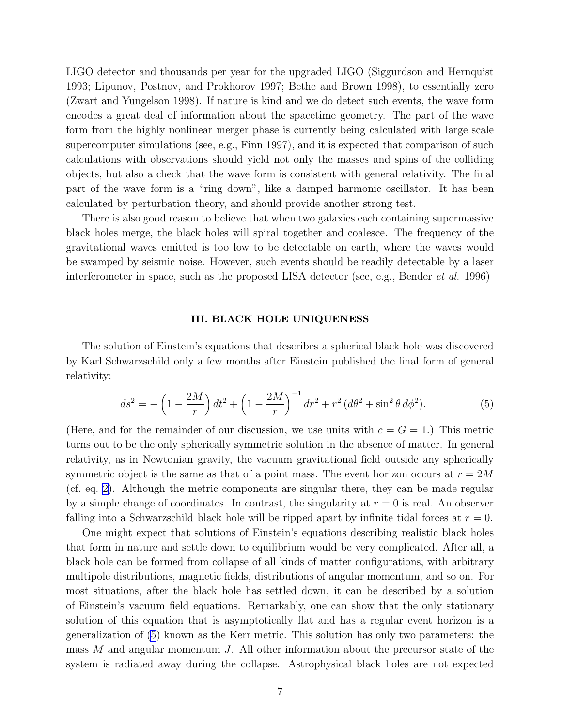LIGO detector and thousands per year for the upgraded LIGO (Siggurdson and Hernquist 1993; Lipunov, Postnov, and Prokhorov 1997; Bethe and Brown 1998), to essentially zero (Zwart and Yungelson 1998). If nature is kind and we do detect such events, the wave form encodes a great deal of information about the spacetime geometry. The part of the wave form from the highly nonlinear merger phase is currently being calculated with large scale supercomputer simulations (see, e.g., Finn 1997), and it is expected that comparison of such calculations with observations should yield not only the masses and spins of the colliding objects, but also a check that the wave form is consistent with general relativity. The final part of the wave form is a "ring down", like a damped harmonic oscillator. It has been calculated by perturbation theory, and should provide another strong test.

There is also good reason to believe that when two galaxies each containing supermassive black holes merge, the black holes will spiral together and coalesce. The frequency of the gravitational waves emitted is too low to be detectable on earth, where the waves would be swamped by seismic noise. However, such events should be readily detectable by a laser interferometer in space, such as the proposed LISA detector (see, e.g., Bender *et al.* 1996)

## III. BLACK HOLE UNIQUENESS

The solution of Einstein's equations that describes a spherical black hole was discovered by Karl Schwarzschild only a few months after Einstein published the final form of general relativity:

$$
ds^{2} = -\left(1 - \frac{2M}{r}\right)dt^{2} + \left(1 - \frac{2M}{r}\right)^{-1}dr^{2} + r^{2}\left(d\theta^{2} + \sin^{2}\theta \,d\phi^{2}\right).
$$
 (5)

(Here, and for the remainder of our discussion, we use units with  $c = G = 1$ .) This metric turns out to be the only spherically symmetric solution in the absence of matter. In general relativity, as in Newtonian gravity, the vacuum gravitational field outside any spherically symmetric object is the same as that of a point mass. The event horizon occurs at  $r = 2M$ (cf. eq. [2\)](#page-2-0). Although the metric components are singular there, they can be made regular by a simple change of coordinates. In contrast, the singularity at  $r = 0$  is real. An observer falling into a Schwarzschild black hole will be ripped apart by infinite tidal forces at  $r = 0$ .

One might expect that solutions of Einstein's equations describing realistic black holes that form in nature and settle down to equilibrium would be very complicated. After all, a black hole can be formed from collapse of all kinds of matter configurations, with arbitrary multipole distributions, magnetic fields, distributions of angular momentum, and so on. For most situations, after the black hole has settled down, it can be described by a solution of Einstein's vacuum field equations. Remarkably, one can show that the only stationary solution of this equation that is asymptotically flat and has a regular event horizon is a generalization of (5) known as the Kerr metric. This solution has only two parameters: the mass  $M$  and angular momentum  $J$ . All other information about the precursor state of the system is radiated away during the collapse. Astrophysical black holes are not expected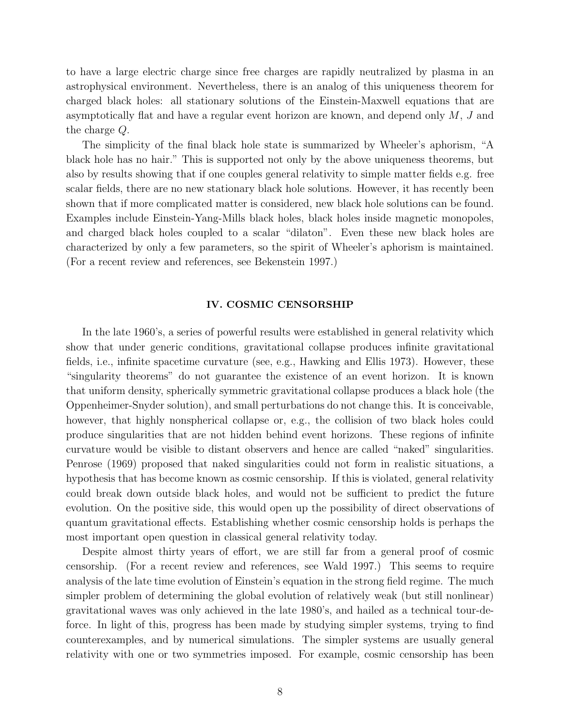to have a large electric charge since free charges are rapidly neutralized by plasma in an astrophysical environment. Nevertheless, there is an analog of this uniqueness theorem for charged black holes: all stationary solutions of the Einstein-Maxwell equations that are asymptotically flat and have a regular event horizon are known, and depend only M, J and the charge Q.

The simplicity of the final black hole state is summarized by Wheeler's aphorism, "A black hole has no hair." This is supported not only by the above uniqueness theorems, but also by results showing that if one couples general relativity to simple matter fields e.g. free scalar fields, there are no new stationary black hole solutions. However, it has recently been shown that if more complicated matter is considered, new black hole solutions can be found. Examples include Einstein-Yang-Mills black holes, black holes inside magnetic monopoles, and charged black holes coupled to a scalar "dilaton". Even these new black holes are characterized by only a few parameters, so the spirit of Wheeler's aphorism is maintained. (For a recent review and references, see Bekenstein 1997.)

# IV. COSMIC CENSORSHIP

In the late 1960's, a series of powerful results were established in general relativity which show that under generic conditions, gravitational collapse produces infinite gravitational fields, i.e., infinite spacetime curvature (see, e.g., Hawking and Ellis 1973). However, these "singularity theorems" do not guarantee the existence of an event horizon. It is known that uniform density, spherically symmetric gravitational collapse produces a black hole (the Oppenheimer-Snyder solution), and small perturbations do not change this. It is conceivable, however, that highly nonspherical collapse or, e.g., the collision of two black holes could produce singularities that are not hidden behind event horizons. These regions of infinite curvature would be visible to distant observers and hence are called "naked" singularities. Penrose (1969) proposed that naked singularities could not form in realistic situations, a hypothesis that has become known as cosmic censorship. If this is violated, general relativity could break down outside black holes, and would not be sufficient to predict the future evolution. On the positive side, this would open up the possibility of direct observations of quantum gravitational effects. Establishing whether cosmic censorship holds is perhaps the most important open question in classical general relativity today.

Despite almost thirty years of effort, we are still far from a general proof of cosmic censorship. (For a recent review and references, see Wald 1997.) This seems to require analysis of the late time evolution of Einstein's equation in the strong field regime. The much simpler problem of determining the global evolution of relatively weak (but still nonlinear) gravitational waves was only achieved in the late 1980's, and hailed as a technical tour-deforce. In light of this, progress has been made by studying simpler systems, trying to find counterexamples, and by numerical simulations. The simpler systems are usually general relativity with one or two symmetries imposed. For example, cosmic censorship has been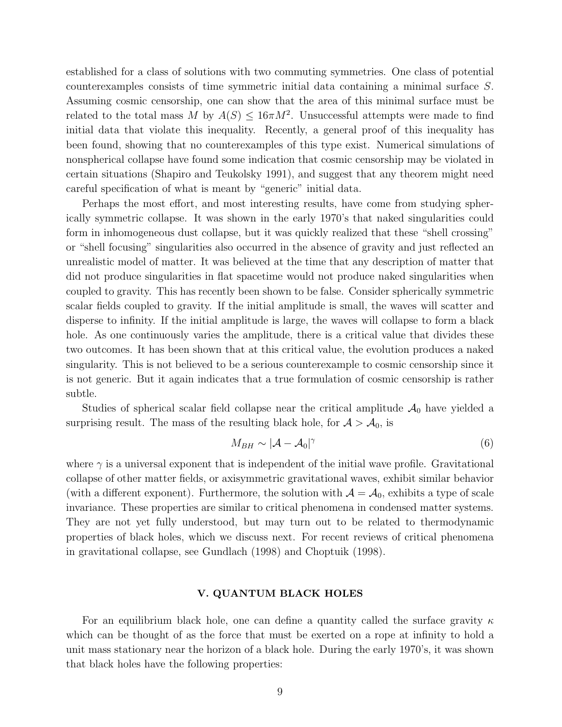established for a class of solutions with two commuting symmetries. One class of potential counterexamples consists of time symmetric initial data containing a minimal surface S. Assuming cosmic censorship, one can show that the area of this minimal surface must be related to the total mass M by  $A(S) \leq 16\pi M^2$ . Unsuccessful attempts were made to find initial data that violate this inequality. Recently, a general proof of this inequality has been found, showing that no counterexamples of this type exist. Numerical simulations of nonspherical collapse have found some indication that cosmic censorship may be violated in certain situations (Shapiro and Teukolsky 1991), and suggest that any theorem might need careful specification of what is meant by "generic" initial data.

Perhaps the most effort, and most interesting results, have come from studying spherically symmetric collapse. It was shown in the early 1970's that naked singularities could form in inhomogeneous dust collapse, but it was quickly realized that these "shell crossing" or "shell focusing" singularities also occurred in the absence of gravity and just reflected an unrealistic model of matter. It was believed at the time that any description of matter that did not produce singularities in flat spacetime would not produce naked singularities when coupled to gravity. This has recently been shown to be false. Consider spherically symmetric scalar fields coupled to gravity. If the initial amplitude is small, the waves will scatter and disperse to infinity. If the initial amplitude is large, the waves will collapse to form a black hole. As one continuously varies the amplitude, there is a critical value that divides these two outcomes. It has been shown that at this critical value, the evolution produces a naked singularity. This is not believed to be a serious counterexample to cosmic censorship since it is not generic. But it again indicates that a true formulation of cosmic censorship is rather subtle.

Studies of spherical scalar field collapse near the critical amplitude  $A_0$  have yielded a surprising result. The mass of the resulting black hole, for  $A > A_0$ , is

$$
M_{BH} \sim |\mathcal{A} - \mathcal{A}_0|^\gamma \tag{6}
$$

where  $\gamma$  is a universal exponent that is independent of the initial wave profile. Gravitational collapse of other matter fields, or axisymmetric gravitational waves, exhibit similar behavior (with a different exponent). Furthermore, the solution with  $A = A_0$ , exhibits a type of scale invariance. These properties are similar to critical phenomena in condensed matter systems. They are not yet fully understood, but may turn out to be related to thermodynamic properties of black holes, which we discuss next. For recent reviews of critical phenomena in gravitational collapse, see Gundlach (1998) and Choptuik (1998).

# V. QUANTUM BLACK HOLES

For an equilibrium black hole, one can define a quantity called the surface gravity  $\kappa$ which can be thought of as the force that must be exerted on a rope at infinity to hold a unit mass stationary near the horizon of a black hole. During the early 1970's, it was shown that black holes have the following properties: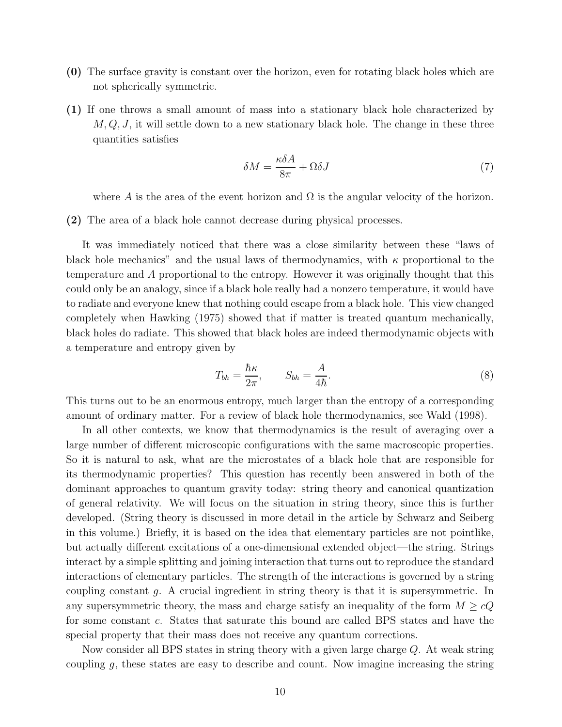- (0) The surface gravity is constant over the horizon, even for rotating black holes which are not spherically symmetric.
- (1) If one throws a small amount of mass into a stationary black hole characterized by  $M, Q, J$ , it will settle down to a new stationary black hole. The change in these three quantities satisfies

$$
\delta M = \frac{\kappa \delta A}{8\pi} + \Omega \delta J \tag{7}
$$

where A is the area of the event horizon and  $\Omega$  is the angular velocity of the horizon.

(2) The area of a black hole cannot decrease during physical processes.

It was immediately noticed that there was a close similarity between these "laws of black hole mechanics" and the usual laws of thermodynamics, with  $\kappa$  proportional to the temperature and A proportional to the entropy. However it was originally thought that this could only be an analogy, since if a black hole really had a nonzero temperature, it would have to radiate and everyone knew that nothing could escape from a black hole. This view changed completely when Hawking (1975) showed that if matter is treated quantum mechanically, black holes do radiate. This showed that black holes are indeed thermodynamic objects with a temperature and entropy given by

$$
T_{bh} = \frac{\hbar \kappa}{2\pi}, \qquad S_{bh} = \frac{A}{4\hbar}.
$$
\n(8)

This turns out to be an enormous entropy, much larger than the entropy of a corresponding amount of ordinary matter. For a review of black hole thermodynamics, see Wald (1998).

In all other contexts, we know that thermodynamics is the result of averaging over a large number of different microscopic configurations with the same macroscopic properties. So it is natural to ask, what are the microstates of a black hole that are responsible for its thermodynamic properties? This question has recently been answered in both of the dominant approaches to quantum gravity today: string theory and canonical quantization of general relativity. We will focus on the situation in string theory, since this is further developed. (String theory is discussed in more detail in the article by Schwarz and Seiberg in this volume.) Briefly, it is based on the idea that elementary particles are not pointlike, but actually different excitations of a one-dimensional extended object—the string. Strings interact by a simple splitting and joining interaction that turns out to reproduce the standard interactions of elementary particles. The strength of the interactions is governed by a string coupling constant g. A crucial ingredient in string theory is that it is supersymmetric. In any supersymmetric theory, the mass and charge satisfy an inequality of the form  $M \geq cQ$ for some constant c. States that saturate this bound are called BPS states and have the special property that their mass does not receive any quantum corrections.

Now consider all BPS states in string theory with a given large charge Q. At weak string coupling g, these states are easy to describe and count. Now imagine increasing the string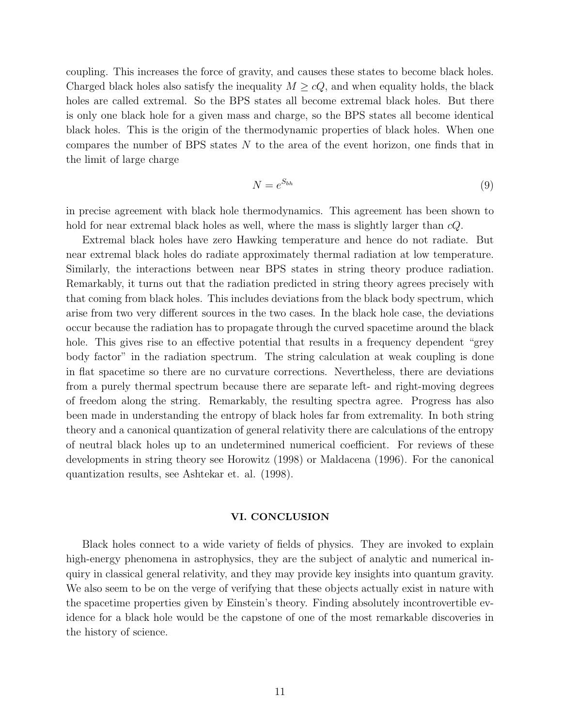coupling. This increases the force of gravity, and causes these states to become black holes. Charged black holes also satisfy the inequality  $M \geq cQ$ , and when equality holds, the black holes are called extremal. So the BPS states all become extremal black holes. But there is only one black hole for a given mass and charge, so the BPS states all become identical black holes. This is the origin of the thermodynamic properties of black holes. When one compares the number of BPS states N to the area of the event horizon, one finds that in the limit of large charge

$$
N = e^{S_{bh}} \tag{9}
$$

in precise agreement with black hole thermodynamics. This agreement has been shown to hold for near extremal black holes as well, where the mass is slightly larger than  $cQ$ .

Extremal black holes have zero Hawking temperature and hence do not radiate. But near extremal black holes do radiate approximately thermal radiation at low temperature. Similarly, the interactions between near BPS states in string theory produce radiation. Remarkably, it turns out that the radiation predicted in string theory agrees precisely with that coming from black holes. This includes deviations from the black body spectrum, which arise from two very different sources in the two cases. In the black hole case, the deviations occur because the radiation has to propagate through the curved spacetime around the black hole. This gives rise to an effective potential that results in a frequency dependent "grey body factor" in the radiation spectrum. The string calculation at weak coupling is done in flat spacetime so there are no curvature corrections. Nevertheless, there are deviations from a purely thermal spectrum because there are separate left- and right-moving degrees of freedom along the string. Remarkably, the resulting spectra agree. Progress has also been made in understanding the entropy of black holes far from extremality. In both string theory and a canonical quantization of general relativity there are calculations of the entropy of neutral black holes up to an undetermined numerical coefficient. For reviews of these developments in string theory see Horowitz (1998) or Maldacena (1996). For the canonical quantization results, see Ashtekar et. al. (1998).

## VI. CONCLUSION

Black holes connect to a wide variety of fields of physics. They are invoked to explain high-energy phenomena in astrophysics, they are the subject of analytic and numerical inquiry in classical general relativity, and they may provide key insights into quantum gravity. We also seem to be on the verge of verifying that these objects actually exist in nature with the spacetime properties given by Einstein's theory. Finding absolutely incontrovertible evidence for a black hole would be the capstone of one of the most remarkable discoveries in the history of science.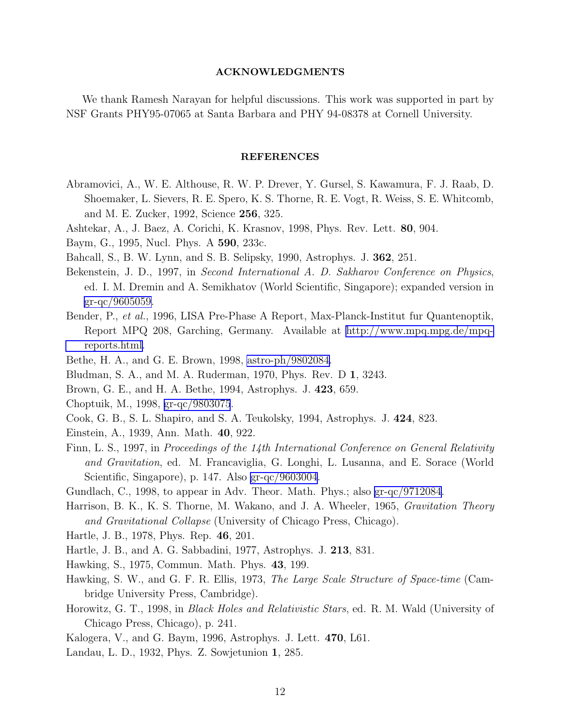#### ACKNOWLEDGMENTS

We thank Ramesh Narayan for helpful discussions. This work was supported in part by NSF Grants PHY95-07065 at Santa Barbara and PHY 94-08378 at Cornell University.

## REFERENCES

- Abramovici, A., W. E. Althouse, R. W. P. Drever, Y. Gursel, S. Kawamura, F. J. Raab, D. Shoemaker, L. Sievers, R. E. Spero, K. S. Thorne, R. E. Vogt, R. Weiss, S. E. Whitcomb, and M. E. Zucker, 1992, Science 256, 325.
- Ashtekar, A., J. Baez, A. Corichi, K. Krasnov, 1998, Phys. Rev. Lett. 80, 904.
- Baym, G., 1995, Nucl. Phys. A 590, 233c.

Bahcall, S., B. W. Lynn, and S. B. Selipsky, 1990, Astrophys. J. 362, 251.

- Bekenstein, J. D., 1997, in *Second International A. D. Sakharov Conference on Physics*, ed. I. M. Dremin and A. Semikhatov (World Scientific, Singapore); expanded version in [gr-qc/9605059.](http://arXiv.org/abs/gr-qc/9605059)
- Bender, P., *et al.*, 1996, LISA Pre-Phase A Report, Max-Planck-Institut fur Quantenoptik, Report MPQ 208, Garching, Germany. Available at [http://www.mpq.mpg.de/mpq](http://www.mpq.mpg.de/mpq-reports.html)[reports.html.](http://www.mpq.mpg.de/mpq-reports.html)

Bethe, H. A., and G. E. Brown, 1998, [astro-ph/9802084.](http://arXiv.org/abs/astro-ph/9802084)

- Bludman, S. A., and M. A. Ruderman, 1970, Phys. Rev. D 1, 3243.
- Brown, G. E., and H. A. Bethe, 1994, Astrophys. J. 423, 659.
- Choptuik, M., 1998, [gr-qc/9803075](http://arXiv.org/abs/gr-qc/9803075).
- Cook, G. B., S. L. Shapiro, and S. A. Teukolsky, 1994, Astrophys. J. 424, 823.

Einstein, A., 1939, Ann. Math. 40, 922.

Finn, L. S., 1997, in *Proceedings of the 14th International Conference on General Relativity and Gravitation*, ed. M. Francaviglia, G. Longhi, L. Lusanna, and E. Sorace (World Scientific, Singapore), p. 147. Also [gr-qc/9603004.](http://arXiv.org/abs/gr-qc/9603004)

Gundlach, C., 1998, to appear in Adv. Theor. Math. Phys.; also [gr-qc/9712084](http://arXiv.org/abs/gr-qc/9712084).

- Harrison, B. K., K. S. Thorne, M. Wakano, and J. A. Wheeler, 1965, *Gravitation Theory and Gravitational Collapse* (University of Chicago Press, Chicago).
- Hartle, J. B., 1978, Phys. Rep. 46, 201.
- Hartle, J. B., and A. G. Sabbadini, 1977, Astrophys. J. 213, 831.
- Hawking, S., 1975, Commun. Math. Phys. 43, 199.
- Hawking, S. W., and G. F. R. Ellis, 1973, *The Large Scale Structure of Space-time* (Cambridge University Press, Cambridge).
- Horowitz, G. T., 1998, in *Black Holes and Relativistic Stars*, ed. R. M. Wald (University of Chicago Press, Chicago), p. 241.

Kalogera, V., and G. Baym, 1996, Astrophys. J. Lett. 470, L61.

Landau, L. D., 1932, Phys. Z. Sowjetunion 1, 285.